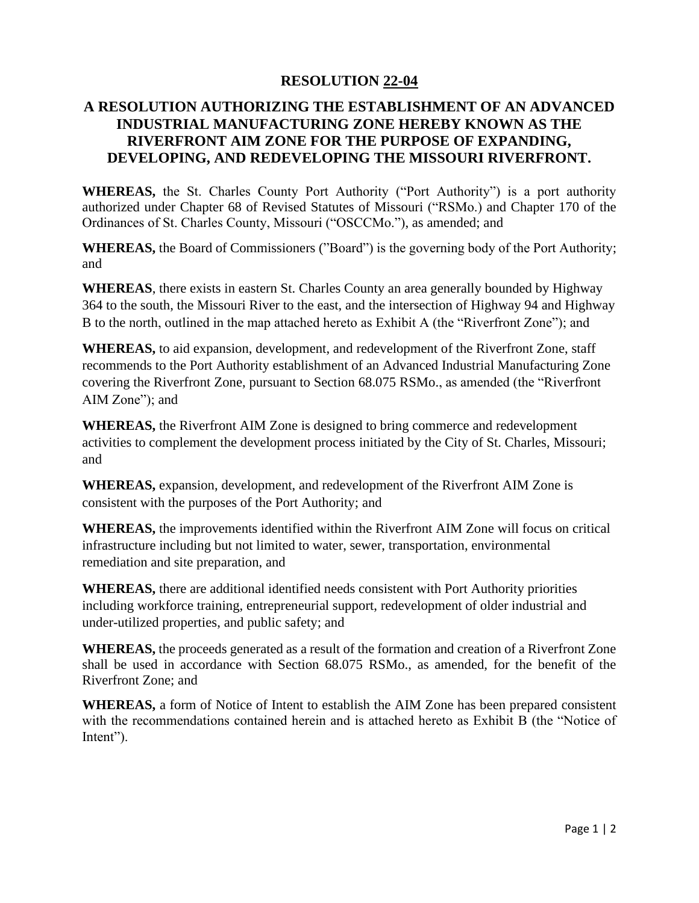## **RESOLUTION 22-04**

## **A RESOLUTION AUTHORIZING THE ESTABLISHMENT OF AN ADVANCED INDUSTRIAL MANUFACTURING ZONE HEREBY KNOWN AS THE RIVERFRONT AIM ZONE FOR THE PURPOSE OF EXPANDING, DEVELOPING, AND REDEVELOPING THE MISSOURI RIVERFRONT.**

**WHEREAS,** the St. Charles County Port Authority ("Port Authority") is a port authority authorized under Chapter 68 of Revised Statutes of Missouri ("RSMo.) and Chapter 170 of the Ordinances of St. Charles County, Missouri ("OSCCMo."), as amended; and

**WHEREAS,** the Board of Commissioners ("Board") is the governing body of the Port Authority; and

**WHEREAS**, there exists in eastern St. Charles County an area generally bounded by Highway 364 to the south, the Missouri River to the east, and the intersection of Highway 94 and Highway B to the north, outlined in the map attached hereto as Exhibit A (the "Riverfront Zone"); and

**WHEREAS,** to aid expansion, development, and redevelopment of the Riverfront Zone, staff recommends to the Port Authority establishment of an Advanced Industrial Manufacturing Zone covering the Riverfront Zone, pursuant to Section 68.075 RSMo., as amended (the "Riverfront AIM Zone"); and

**WHEREAS,** the Riverfront AIM Zone is designed to bring commerce and redevelopment activities to complement the development process initiated by the City of St. Charles, Missouri; and

**WHEREAS,** expansion, development, and redevelopment of the Riverfront AIM Zone is consistent with the purposes of the Port Authority; and

**WHEREAS,** the improvements identified within the Riverfront AIM Zone will focus on critical infrastructure including but not limited to water, sewer, transportation, environmental remediation and site preparation, and

**WHEREAS,** there are additional identified needs consistent with Port Authority priorities including workforce training, entrepreneurial support, redevelopment of older industrial and under-utilized properties, and public safety; and

**WHEREAS,** the proceeds generated as a result of the formation and creation of a Riverfront Zone shall be used in accordance with Section 68.075 RSMo., as amended, for the benefit of the Riverfront Zone; and

**WHEREAS,** a form of Notice of Intent to establish the AIM Zone has been prepared consistent with the recommendations contained herein and is attached hereto as Exhibit B (the "Notice of Intent").